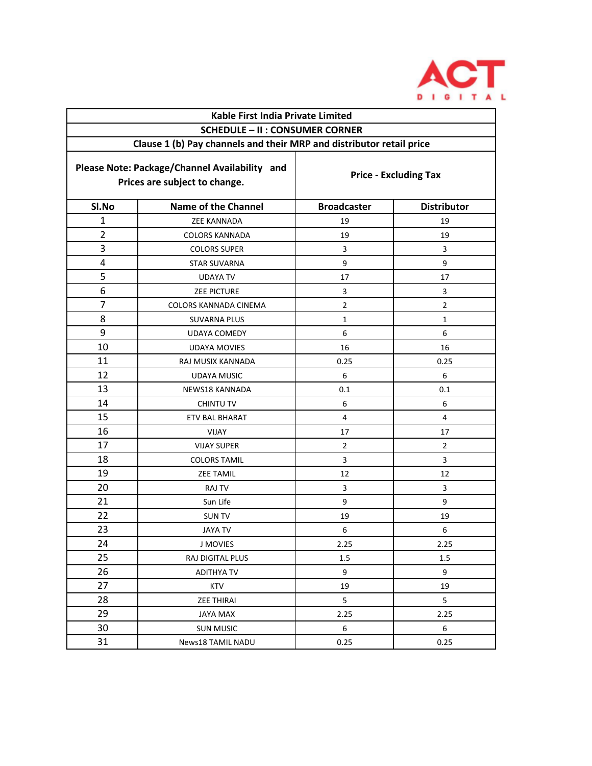

| Kable First India Private Limited                                              |                            |                              |                    |  |
|--------------------------------------------------------------------------------|----------------------------|------------------------------|--------------------|--|
| <b>SCHEDULE - II : CONSUMER CORNER</b>                                         |                            |                              |                    |  |
| Clause 1 (b) Pay channels and their MRP and distributor retail price           |                            |                              |                    |  |
| Please Note: Package/Channel Availability and<br>Prices are subject to change. |                            | <b>Price - Excluding Tax</b> |                    |  |
| SI.No                                                                          | <b>Name of the Channel</b> | <b>Broadcaster</b>           | <b>Distributor</b> |  |
| $\mathbf{1}$                                                                   | <b>ZEE KANNADA</b>         | 19                           | 19                 |  |
| $\overline{2}$                                                                 | <b>COLORS KANNADA</b>      | 19                           | 19                 |  |
| 3                                                                              | <b>COLORS SUPER</b>        | 3                            | 3                  |  |
| 4                                                                              | <b>STAR SUVARNA</b>        | 9                            | 9                  |  |
| 5                                                                              | <b>UDAYA TV</b>            | 17                           | 17                 |  |
| 6                                                                              | <b>ZEE PICTURE</b>         | 3                            | 3                  |  |
| $\overline{7}$                                                                 | COLORS KANNADA CINEMA      | $\overline{2}$               | $\overline{2}$     |  |
| 8                                                                              | <b>SUVARNA PLUS</b>        | $\mathbf{1}$                 | $\mathbf{1}$       |  |
| 9                                                                              | <b>UDAYA COMEDY</b>        | 6                            | 6                  |  |
| 10                                                                             | <b>UDAYA MOVIES</b>        | 16                           | 16                 |  |
| 11                                                                             | RAJ MUSIX KANNADA          | 0.25                         | 0.25               |  |
| 12                                                                             | <b>UDAYA MUSIC</b>         | 6                            | 6                  |  |
| 13                                                                             | NEWS18 KANNADA             | 0.1                          | 0.1                |  |
| 14                                                                             | <b>CHINTU TV</b>           | 6                            | 6                  |  |
| 15                                                                             | <b>ETV BAL BHARAT</b>      | 4                            | 4                  |  |
| 16                                                                             | VIJAY                      | 17                           | 17                 |  |
| 17                                                                             | <b>VIJAY SUPER</b>         | $\overline{2}$               | $\overline{2}$     |  |
| 18                                                                             | <b>COLORS TAMIL</b>        | 3                            | 3                  |  |
| 19                                                                             | <b>ZEE TAMIL</b>           | 12                           | 12                 |  |
| 20                                                                             | RAJ TV                     | 3                            | 3                  |  |
| 21                                                                             | Sun Life                   | 9                            | 9                  |  |
| 22                                                                             | <b>SUN TV</b>              | 19                           | 19                 |  |
| 23                                                                             | <b>JAYA TV</b>             | 6                            | 6                  |  |
| 24                                                                             | <b>J MOVIES</b>            | 2.25                         | 2.25               |  |
| 25                                                                             | RAJ DIGITAL PLUS           | 1.5                          | 1.5                |  |
| 26                                                                             | <b>ADITHYA TV</b>          | 9                            | 9                  |  |
| 27                                                                             | <b>KTV</b>                 | 19                           | 19                 |  |
| 28                                                                             | <b>ZEE THIRAI</b>          | 5                            | 5                  |  |
| 29                                                                             | <b>JAYA MAX</b>            | 2.25                         | 2.25               |  |
| 30                                                                             | <b>SUN MUSIC</b>           | 6                            | 6                  |  |
| 31                                                                             | <b>News18 TAMIL NADU</b>   | 0.25                         | 0.25               |  |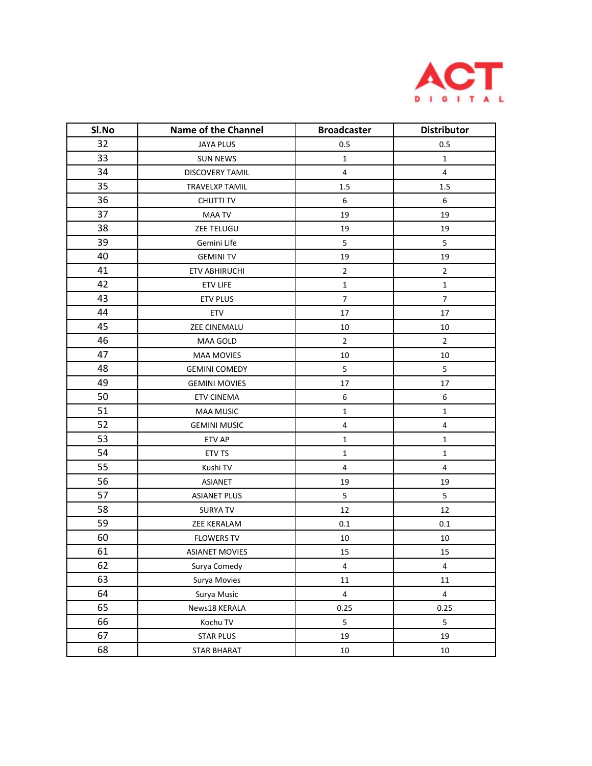

| Sl.No | <b>Name of the Channel</b> | <b>Broadcaster</b> | <b>Distributor</b> |
|-------|----------------------------|--------------------|--------------------|
| 32    | <b>JAYA PLUS</b>           | 0.5                | 0.5                |
| 33    | <b>SUN NEWS</b>            | $\mathbf{1}$       | $\mathbf{1}$       |
| 34    | <b>DISCOVERY TAMIL</b>     | $\overline{4}$     | $\overline{4}$     |
| 35    | TRAVELXP TAMIL             | 1.5                | 1.5                |
| 36    | <b>CHUTTI TV</b>           | $\boldsymbol{6}$   | 6                  |
| 37    | <b>MAA TV</b>              | 19                 | 19                 |
| 38    | ZEE TELUGU                 | 19                 | 19                 |
| 39    | Gemini Life                | 5                  | 5                  |
| 40    | <b>GEMINITV</b>            | 19                 | 19                 |
| 41    | <b>ETV ABHIRUCHI</b>       | $\overline{2}$     | $\overline{2}$     |
| 42    | <b>ETV LIFE</b>            | $\mathbf{1}$       | $\mathbf{1}$       |
| 43    | <b>ETV PLUS</b>            | $\boldsymbol{7}$   | $\overline{7}$     |
| 44    | ETV                        | 17                 | 17                 |
| 45    | ZEE CINEMALU               | 10                 | 10                 |
| 46    | MAA GOLD                   | $\sqrt{2}$         | $\overline{2}$     |
| 47    | <b>MAA MOVIES</b>          | 10                 | $10\,$             |
| 48    | <b>GEMINI COMEDY</b>       | $\overline{5}$     | 5                  |
| 49    | <b>GEMINI MOVIES</b>       | 17                 | 17                 |
| 50    | <b>ETV CINEMA</b>          | 6                  | $\,$ 6 $\,$        |
| 51    | <b>MAA MUSIC</b>           | $\mathbf 1$        | $\mathbf 1$        |
| 52    | <b>GEMINI MUSIC</b>        | $\sqrt{4}$         | $\overline{4}$     |
| 53    | ETV AP                     | $\mathbf{1}$       | $\mathbf 1$        |
| 54    | ETV TS                     | $\mathbf 1$        | $\mathbf 1$        |
| 55    | Kushi TV                   | $\sqrt{4}$         | $\overline{4}$     |
| 56    | <b>ASIANET</b>             | 19                 | 19                 |
| 57    | <b>ASIANET PLUS</b>        | 5                  | 5                  |
| 58    | <b>SURYA TV</b>            | 12                 | 12                 |
| 59    | ZEE KERALAM                | 0.1                | $0.1\,$            |
| 60    | <b>FLOWERS TV</b>          | 10                 | $10\,$             |
| 61    | <b>ASIANET MOVIES</b>      | 15                 | 15                 |
| 62    | Surya Comedy               | $\sqrt{4}$         | $\overline{4}$     |
| 63    | Surya Movies               | ${\bf 11}$         | $11\,$             |
| 64    | Surya Music                | $\overline{4}$     | $\overline{4}$     |
| 65    | News18 KERALA              | 0.25               | 0.25               |
| 66    | Kochu TV                   | 5                  | $5\phantom{.0}$    |
| 67    | <b>STAR PLUS</b>           | 19                 | 19                 |
| 68    | <b>STAR BHARAT</b>         | 10                 | $10\,$             |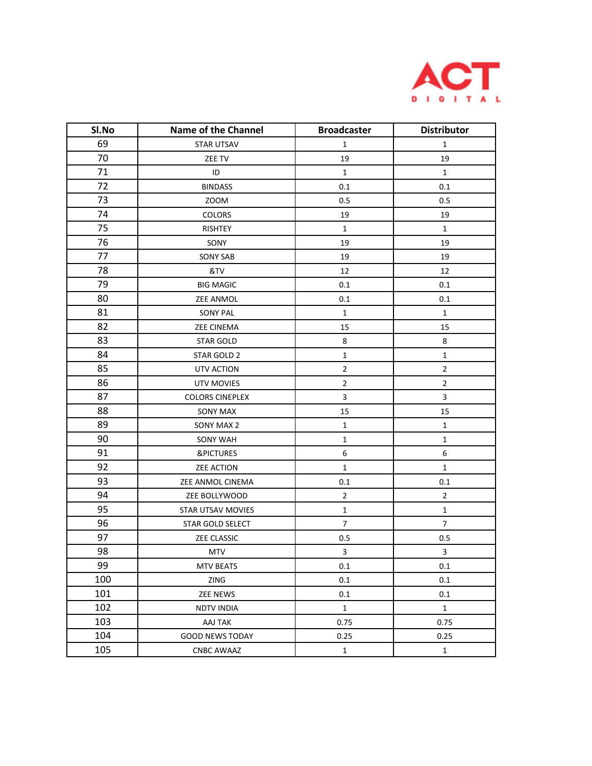

| Sl.No | <b>Name of the Channel</b> | <b>Broadcaster</b>       | <b>Distributor</b> |
|-------|----------------------------|--------------------------|--------------------|
| 69    | <b>STAR UTSAV</b>          | $\mathbf 1$              | $\mathbf{1}$       |
| 70    | ZEE TV                     | 19                       | 19                 |
| 71    | ID                         | $\mathbf 1$              | $\mathbf{1}$       |
| 72    | <b>BINDASS</b>             | 0.1                      | 0.1                |
| 73    | <b>ZOOM</b>                | 0.5                      | 0.5                |
| 74    | COLORS                     | 19                       | 19                 |
| 75    | RISHTEY                    | $\mathbf 1$              | 1                  |
| 76    | SONY                       | 19                       | 19                 |
| 77    | <b>SONY SAB</b>            | 19                       | 19                 |
| 78    | &TV                        | 12                       | 12                 |
| 79    | <b>BIG MAGIC</b>           | 0.1                      | 0.1                |
| 80    | <b>ZEE ANMOL</b>           | 0.1                      | 0.1                |
| 81    | <b>SONY PAL</b>            | $\mathbf 1$              | $\mathbf 1$        |
| 82    | <b>ZEE CINEMA</b>          | 15                       | 15                 |
| 83    | <b>STAR GOLD</b>           | 8                        | 8                  |
| 84    | STAR GOLD 2                | $\mathbf 1$              | $\mathbf 1$        |
| 85    | UTV ACTION                 | $\mathbf 2$              | $\overline{2}$     |
| 86    | UTV MOVIES                 | $\mathbf 2$              | $\overline{2}$     |
| 87    | <b>COLORS CINEPLEX</b>     | $\mathsf 3$              | 3                  |
| 88    | SONY MAX                   | 15                       | 15                 |
| 89    | SONY MAX 2                 | $\mathbf 1$              | $\mathbf 1$        |
| 90    | <b>SONY WAH</b>            | $\mathbf 1$              | $\mathbf 1$        |
| 91    | <b>&amp;PICTURES</b>       | $\boldsymbol{6}$         | 6                  |
| 92    | ZEE ACTION                 | $\mathbf 1$              | $\mathbf 1$        |
| 93    | ZEE ANMOL CINEMA           | 0.1                      | 0.1                |
| 94    | ZEE BOLLYWOOD              | $\mathbf 2$              | $\overline{2}$     |
| 95    | <b>STAR UTSAV MOVIES</b>   | $\mathbf 1$              | $\mathbf 1$        |
| 96    | STAR GOLD SELECT           | $\overline{\mathcal{I}}$ | $\boldsymbol{7}$   |
| 97    | ZEE CLASSIC                | 0.5                      | 0.5                |
| 98    | <b>MTV</b>                 | $\mathsf 3$              | 3                  |
| 99    | <b>MTV BEATS</b>           | 0.1                      | 0.1                |
| 100   | ZING                       | 0.1                      | 0.1                |
| 101   | <b>ZEE NEWS</b>            | 0.1                      | 0.1                |
| 102   | <b>NDTV INDIA</b>          | $\mathbf 1$              | $\mathbf 1$        |
| 103   | AAJ TAK                    | 0.75                     | 0.75               |
| 104   | <b>GOOD NEWS TODAY</b>     | 0.25                     | 0.25               |
| 105   | <b>CNBC AWAAZ</b>          | $\mathbf 1$              | $\mathbf 1$        |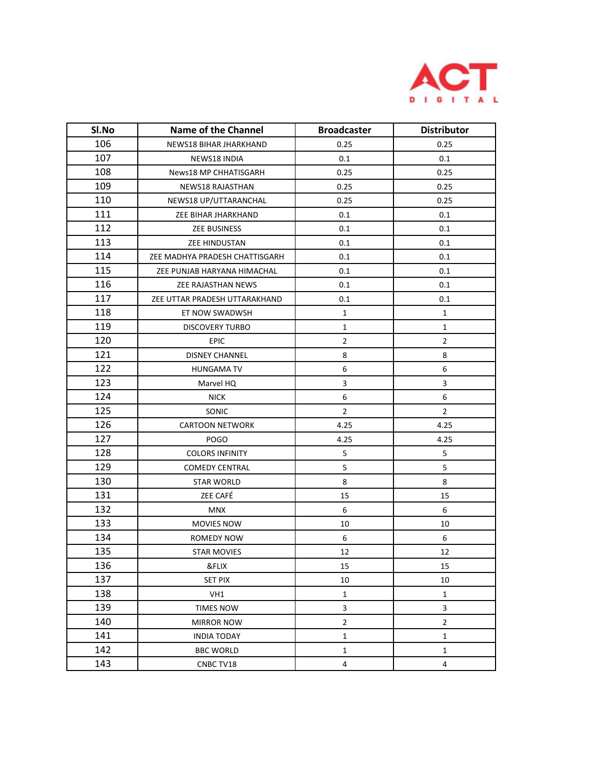

| Sl.No | <b>Name of the Channel</b>     | <b>Broadcaster</b> | <b>Distributor</b> |
|-------|--------------------------------|--------------------|--------------------|
| 106   | NEWS18 BIHAR JHARKHAND         | 0.25               | 0.25               |
| 107   | NEWS18 INDIA                   | 0.1                | 0.1                |
| 108   | News18 MP CHHATISGARH          | 0.25               | 0.25               |
| 109   | NEWS18 RAJASTHAN               | 0.25               | 0.25               |
| 110   | NEWS18 UP/UTTARANCHAL          | 0.25               | 0.25               |
| 111   | ZEE BIHAR JHARKHAND            | 0.1                | 0.1                |
| 112   | <b>ZEE BUSINESS</b>            | 0.1                | 0.1                |
| 113   | ZEE HINDUSTAN                  | 0.1                | 0.1                |
| 114   | ZEE MADHYA PRADESH CHATTISGARH | 0.1                | 0.1                |
| 115   | ZEE PUNJAB HARYANA HIMACHAL    | 0.1                | 0.1                |
| 116   | ZEE RAJASTHAN NEWS             | 0.1                | 0.1                |
| 117   | ZEE UTTAR PRADESH UTTARAKHAND  | 0.1                | 0.1                |
| 118   | ET NOW SWADWSH                 | $\mathbf{1}$       | 1                  |
| 119   | <b>DISCOVERY TURBO</b>         | $\mathbf{1}$       | 1                  |
| 120   | EPIC                           | $\overline{2}$     | $\overline{2}$     |
| 121   | <b>DISNEY CHANNEL</b>          | 8                  | 8                  |
| 122   | <b>HUNGAMA TV</b>              | 6                  | 6                  |
| 123   | Marvel HQ                      | 3                  | 3                  |
| 124   | <b>NICK</b>                    | 6                  | 6                  |
| 125   | SONIC                          | $\overline{2}$     | $\overline{2}$     |
| 126   | <b>CARTOON NETWORK</b>         | 4.25               | 4.25               |
| 127   | <b>POGO</b>                    | 4.25               | 4.25               |
| 128   | <b>COLORS INFINITY</b>         | 5                  | 5                  |
| 129   | <b>COMEDY CENTRAL</b>          | 5                  | 5                  |
| 130   | <b>STAR WORLD</b>              | 8                  | 8                  |
| 131   | ZEE CAFÉ                       | 15                 | 15                 |
| 132   | <b>MNX</b>                     | 6                  | 6                  |
| 133   | MOVIES NOW                     | 10                 | 10                 |
| 134   | <b>ROMEDY NOW</b>              | 6                  | 6                  |
| 135   | <b>STAR MOVIES</b>             | 12                 | 12                 |
| 136   | &FLIX                          | 15                 | 15                 |
| 137   | <b>SET PIX</b>                 | 10                 | 10                 |
| 138   | VH1                            | $\mathbf 1$        | $\mathbf{1}$       |
| 139   | <b>TIMES NOW</b>               | 3                  | 3                  |
| 140   | <b>MIRROR NOW</b>              | $\overline{2}$     | $\overline{2}$     |
| 141   | <b>INDIA TODAY</b>             | $\mathbf{1}$       | $\mathbf{1}$       |
| 142   | <b>BBC WORLD</b>               | $\mathbf{1}$       | $\mathbf{1}$       |
| 143   | CNBC TV18                      | 4                  | 4                  |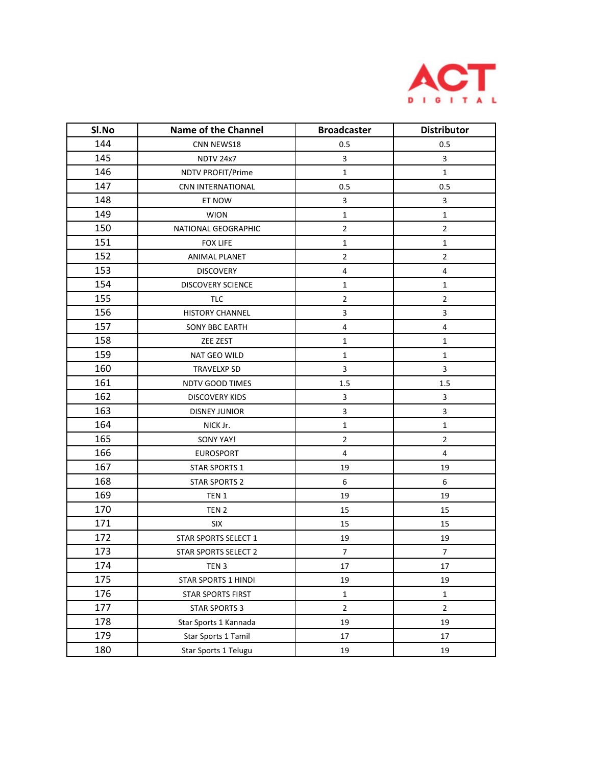

| SI.No | <b>Name of the Channel</b> | <b>Broadcaster</b>      | <b>Distributor</b> |
|-------|----------------------------|-------------------------|--------------------|
| 144   | CNN NEWS18                 | 0.5                     | 0.5                |
| 145   | <b>NDTV 24x7</b>           | $\mathbf{3}$            | 3                  |
| 146   | NDTV PROFIT/Prime          | $\mathbf{1}$            | $\mathbf{1}$       |
| 147   | CNN INTERNATIONAL          | 0.5                     | 0.5                |
| 148   | ET NOW                     | $\mathbf{3}$            | 3                  |
| 149   | <b>WION</b>                | $\mathbf{1}$            | $\mathbf{1}$       |
| 150   | NATIONAL GEOGRAPHIC        | $\mathbf 2$             | $\overline{2}$     |
| 151   | <b>FOX LIFE</b>            | $\mathbf{1}$            | $\mathbf{1}$       |
| 152   | ANIMAL PLANET              | $\overline{2}$          | $\overline{2}$     |
| 153   | <b>DISCOVERY</b>           | $\overline{4}$          | 4                  |
| 154   | <b>DISCOVERY SCIENCE</b>   | $\mathbf{1}$            | $\mathbf{1}$       |
| 155   | <b>TLC</b>                 | $\overline{2}$          | $\overline{2}$     |
| 156   | <b>HISTORY CHANNEL</b>     | 3                       | 3                  |
| 157   | SONY BBC EARTH             | 4                       | 4                  |
| 158   | ZEE ZEST                   | $\mathbf{1}$            | $\mathbf{1}$       |
| 159   | NAT GEO WILD               | $\mathbf 1$             | $\mathbf{1}$       |
| 160   | <b>TRAVELXP SD</b>         | 3                       | 3                  |
| 161   | <b>NDTV GOOD TIMES</b>     | 1.5                     | 1.5                |
| 162   | <b>DISCOVERY KIDS</b>      | 3                       | 3                  |
| 163   | <b>DISNEY JUNIOR</b>       | 3                       | 3                  |
| 164   | NICK Jr.                   | $\mathbf 1$             | $\mathbf{1}$       |
| 165   | SONY YAY!                  | $\overline{2}$          | $\overline{2}$     |
| 166   | <b>EUROSPORT</b>           | $\overline{\mathbf{4}}$ | 4                  |
| 167   | <b>STAR SPORTS 1</b>       | 19                      | 19                 |
| 168   | <b>STAR SPORTS 2</b>       | 6                       | 6                  |
| 169   | TEN 1                      | 19                      | 19                 |
| 170   | TEN <sub>2</sub>           | 15                      | 15                 |
| 171   | <b>SIX</b>                 | 15                      | 15                 |
| 172   | STAR SPORTS SELECT 1       | 19                      | 19                 |
| 173   | STAR SPORTS SELECT 2       | $\overline{7}$          | $\overline{7}$     |
| 174   | TEN <sub>3</sub>           | 17                      | 17                 |
| 175   | STAR SPORTS 1 HINDI        | 19                      | 19                 |
| 176   | STAR SPORTS FIRST          | $\mathbf 1$             | 1                  |
| 177   | <b>STAR SPORTS 3</b>       | $\mathbf 2$             | $\overline{2}$     |
| 178   | Star Sports 1 Kannada      | 19                      | 19                 |
| 179   | Star Sports 1 Tamil        | 17                      | 17                 |
| 180   | Star Sports 1 Telugu       | 19                      | 19                 |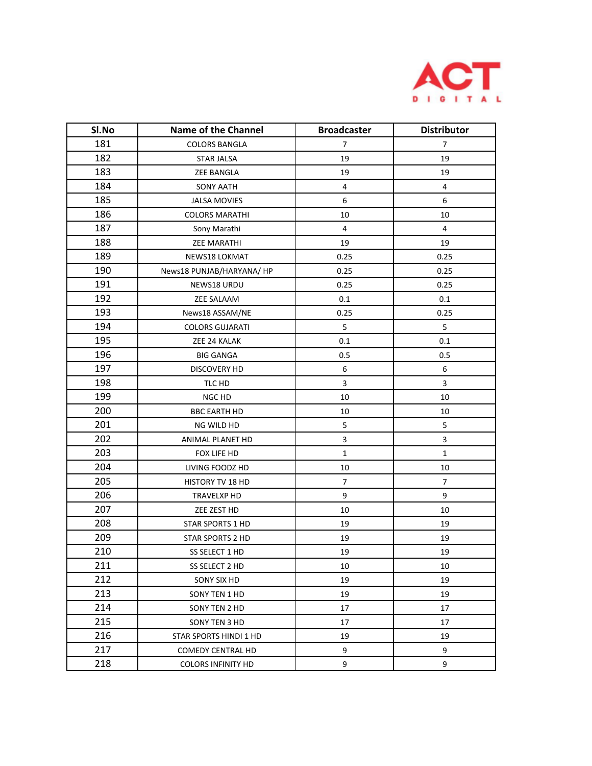

| SI.No | <b>Name of the Channel</b> | <b>Broadcaster</b> | <b>Distributor</b> |
|-------|----------------------------|--------------------|--------------------|
| 181   | <b>COLORS BANGLA</b>       | $\overline{7}$     | $\overline{7}$     |
| 182   | STAR JALSA                 | 19                 | 19                 |
| 183   | <b>ZEE BANGLA</b>          | 19                 | 19                 |
| 184   | <b>SONY AATH</b>           | $\overline{4}$     | 4                  |
| 185   | <b>JALSA MOVIES</b>        | 6                  | 6                  |
| 186   | <b>COLORS MARATHI</b>      | 10                 | 10                 |
| 187   | Sony Marathi               | 4                  | 4                  |
| 188   | <b>ZEE MARATHI</b>         | 19                 | 19                 |
| 189   | NEWS18 LOKMAT              | 0.25               | 0.25               |
| 190   | News18 PUNJAB/HARYANA/ HP  | 0.25               | 0.25               |
| 191   | NEWS18 URDU                | 0.25               | 0.25               |
| 192   | ZEE SALAAM                 | 0.1                | 0.1                |
| 193   | News18 ASSAM/NE            | 0.25               | 0.25               |
| 194   | <b>COLORS GUJARATI</b>     | 5                  | 5                  |
| 195   | ZEE 24 KALAK               | 0.1                | 0.1                |
| 196   | <b>BIG GANGA</b>           | 0.5                | 0.5                |
| 197   | <b>DISCOVERY HD</b>        | 6                  | 6                  |
| 198   | TLC HD                     | 3                  | 3                  |
| 199   | NGC HD                     | 10                 | 10                 |
| 200   | <b>BBC EARTH HD</b>        | 10                 | 10                 |
| 201   | NG WILD HD                 | $\mathsf S$        | 5                  |
| 202   | ANIMAL PLANET HD           | $\mathsf 3$        | 3                  |
| 203   | FOX LIFE HD                | $\mathbf 1$        | $\mathbf 1$        |
| 204   | LIVING FOODZ HD            | 10                 | 10                 |
| 205   | HISTORY TV 18 HD           | $\overline{7}$     | 7                  |
| 206   | TRAVELXP HD                | 9                  | 9                  |
| 207   | ZEE ZEST HD                | 10                 | 10                 |
| 208   | STAR SPORTS 1 HD           | 19                 | 19                 |
| 209   | STAR SPORTS 2 HD           | 19                 | 19                 |
| 210   | SS SELECT 1 HD             | 19                 | 19                 |
| 211   | SS SELECT 2 HD             | 10                 | 10                 |
| 212   | SONY SIX HD                | 19                 | 19                 |
| 213   | SONY TEN 1 HD              | 19                 | 19                 |
| 214   | SONY TEN 2 HD              | 17                 | 17                 |
| 215   | SONY TEN 3 HD              | 17                 | 17                 |
| 216   | STAR SPORTS HINDI 1 HD     | 19                 | 19                 |
| 217   | COMEDY CENTRAL HD          | 9                  | 9                  |
| 218   | <b>COLORS INFINITY HD</b>  | 9                  | 9                  |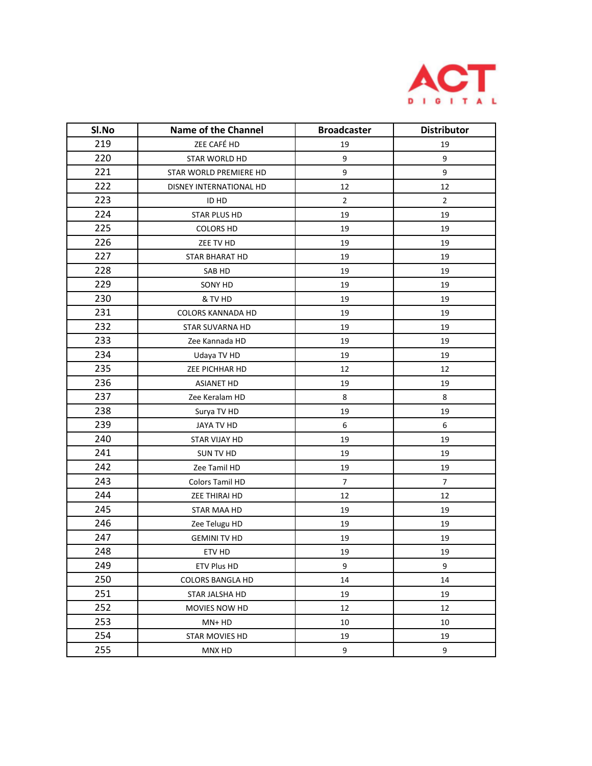

| SI.No | <b>Name of the Channel</b> | <b>Broadcaster</b> | <b>Distributor</b> |
|-------|----------------------------|--------------------|--------------------|
| 219   | ZEE CAFÉ HD                | 19                 | 19                 |
| 220   | STAR WORLD HD              | 9                  | 9                  |
| 221   | STAR WORLD PREMIERE HD     | 9                  | 9                  |
| 222   | DISNEY INTERNATIONAL HD    | 12                 | 12                 |
| 223   | ID HD                      | $\overline{2}$     | $\overline{2}$     |
| 224   | STAR PLUS HD               | 19                 | 19                 |
| 225   | <b>COLORS HD</b>           | 19                 | 19                 |
| 226   | ZEE TV HD                  | 19                 | 19                 |
| 227   | STAR BHARAT HD             | 19                 | 19                 |
| 228   | SAB HD                     | 19                 | 19                 |
| 229   | SONY HD                    | 19                 | 19                 |
| 230   | & TV HD                    | 19                 | 19                 |
| 231   | COLORS KANNADA HD          | 19                 | 19                 |
| 232   | <b>STAR SUVARNA HD</b>     | 19                 | 19                 |
| 233   | Zee Kannada HD             | 19                 | 19                 |
| 234   | Udaya TV HD                | 19                 | 19                 |
| 235   | ZEE PICHHAR HD             | 12                 | 12                 |
| 236   | <b>ASIANET HD</b>          | 19                 | 19                 |
| 237   | Zee Keralam HD             | 8                  | 8                  |
| 238   | Surya TV HD                | 19                 | 19                 |
| 239   | JAYA TV HD                 | 6                  | 6                  |
| 240   | STAR VIJAY HD              | 19                 | 19                 |
| 241   | SUN TV HD                  | 19                 | 19                 |
| 242   | Zee Tamil HD               | 19                 | 19                 |
| 243   | Colors Tamil HD            | $\overline{7}$     | 7                  |
| 244   | ZEE THIRAI HD              | 12                 | 12                 |
| 245   | STAR MAA HD                | 19                 | 19                 |
| 246   | Zee Telugu HD              | 19                 | 19                 |
| 247   | <b>GEMINI TV HD</b>        | 19                 | 19                 |
| 248   | ETV HD                     | 19                 | 19                 |
| 249   | <b>ETV Plus HD</b>         | 9                  | 9                  |
| 250   | <b>COLORS BANGLA HD</b>    | 14                 | 14                 |
| 251   | STAR JALSHA HD             | 19                 | 19                 |
| 252   | <b>MOVIES NOW HD</b>       | 12                 | 12                 |
| 253   | MN+ HD                     | 10                 | 10                 |
| 254   | <b>STAR MOVIES HD</b>      | 19                 | 19                 |
| 255   | MNX HD                     | 9                  | 9                  |